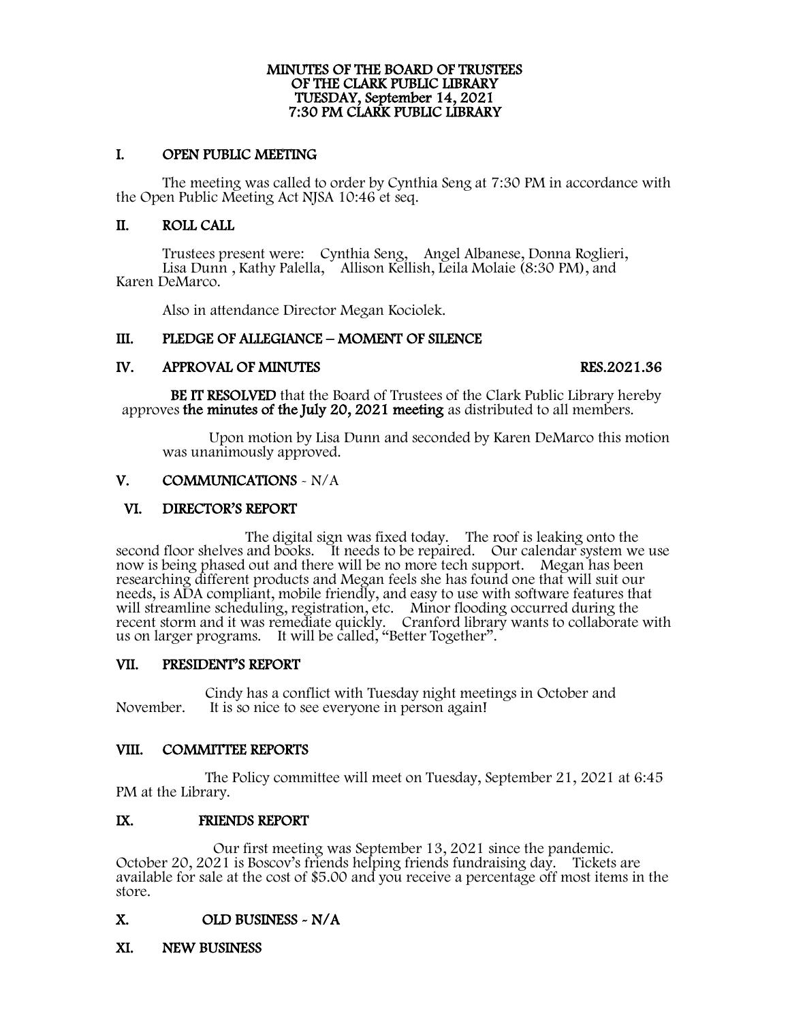# MINUTES OF THE BOARD OF TRUSTEES OF THE CLARK PUBLIC LIBRARY TUESDAY, September 14, 2021 7:30 PM CLARK PUBLIC LIBRARY

### I. OPEN PUBLIC MEETING

The meeting was called to order by Cynthia Seng at 7:30 PM in accordance with the Open Public Meeting Act NJSA 10:46 et seq.

### II. ROLL CALL

Trustees present were: Cynthia Seng, Angel Albanese, Donna Roglieri, Lisa Dunn , Kathy Palella, Allison Kellish, Leila Molaie (8:30 PM), and Karen DeMarco.

Also in attendance Director Megan Kociolek.

## III. PLEDGE OF ALLEGIANCE – MOMENT OF SILENCE

IV. APPROVAL OF MINUTES<br>BE IT RESOLVED that the Board of Trustees of the Clark Public Library hereby approves the minutes of the July 20, 2021 meeting as distributed to all members.

Upon motion by Lisa Dunn and seconded by Karen DeMarco this motion was unanimously approved.

## V. COMMUNICATIONS - N/A

### VI. DIRECTOR'S REPORT

The digital sign was fixed today. The roof is leaking onto the second floor shelves and books. It needs to be repaired. Our calendar system we use now is being phased out and there will be no more tech support. Megan has been researching different products and Megan feels she has found one that will suit our needs, is ADA compliant, mobile friendly, and easy to use with software features that will streamline scheduling, registration, etc. Minor flooding occurred during the recent storm and it was remediate quickly. Cranford library wants to collaborate with us on larger programs. It will be called, "Better Together".

### VII. PRESIDENT'S REPORT

Cindy has a conflict with Tuesday night meetings in October and<br>November. It is so nice to see everyone in person again! It is so nice to see everyone in person again!

### VIII. COMMITTEE REPORTS

 The Policy committee will meet on Tuesday, September 21, 2021 at 6:45 PM at the Library.

## IX. FRIENDS REPORT

Our first meeting was September 13, 2021 since the pandemic.<br>October 20, 2021 is Boscov's friends helping friends fundraising day. Tickets are available for sale at the cost of \$5.00 and you receive a percentage off most items in the store.

## X. OLD BUSINESS ~ N/A<br>XI. NEW BUSINESS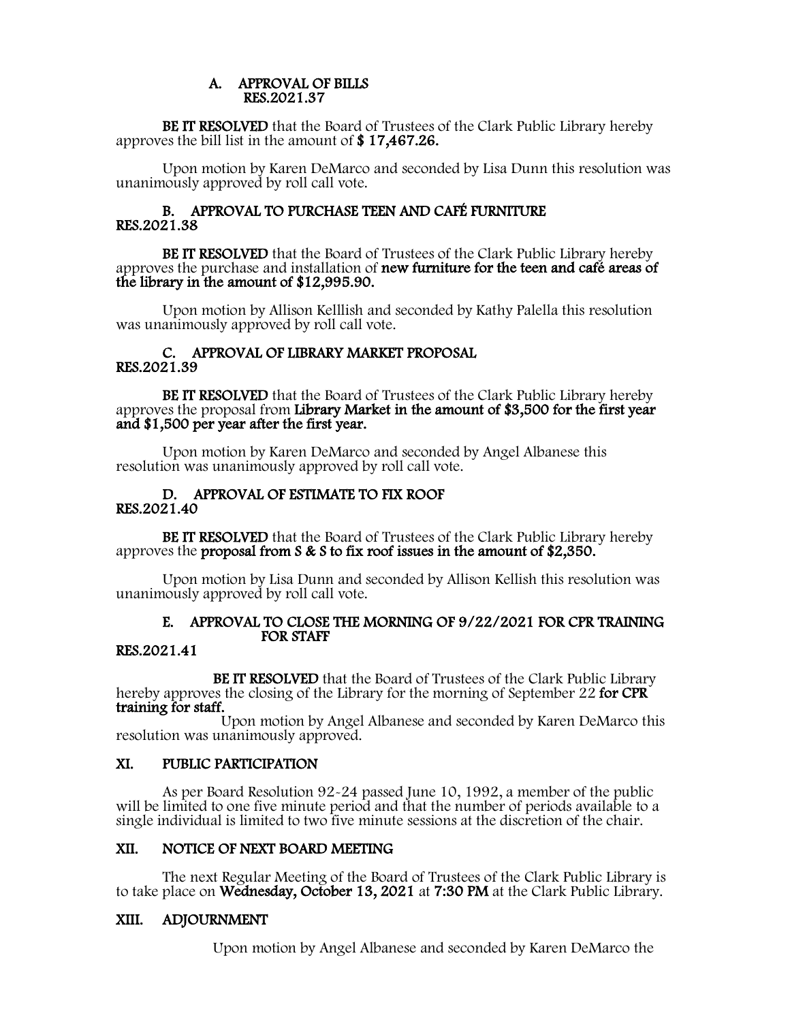## A. APPROVAL OF BILLS RES.2021.37

BE IT RESOLVED that the Board of Trustees of the Clark Public Library hereby approves the bill list in the amount of \$ 17,467.26.

Upon motion by Karen DeMarco and seconded by Lisa Dunn this resolution was unanimously approved by roll call vote.

### B. APPROVAL TO PURCHASE TEEN AND CAFÉ FURNITURE RES.2021.38

BE IT RESOLVED that the Board of Trustees of the Clark Public Library hereby approves the purchase and installation of new furniture for the teen and café areas of the library in the amount of \$12,995.90.

Upon motion by Allison Kelllish and seconded by Kathy Palella this resolution was unanimously approved by roll call vote.

### C. APPROVAL OF LIBRARY MARKET PROPOSAL RES.2021.39

BE IT RESOLVED that the Board of Trustees of the Clark Public Library hereby approves the proposal from Library Market in the amount of \$3,500 for the first year and \$1,500 per year after the first year.

Upon motion by Karen DeMarco and seconded by Angel Albanese this resolution was unanimously approved by roll call vote.

### D. APPROVAL OF ESTIMATE TO FIX ROOF RES.2021.40

BE IT RESOLVED that the Board of Trustees of the Clark Public Library hereby approves the proposal from S & S to fix roof issues in the amount of \$2,350.

Upon motion by Lisa Dunn and seconded by Allison Kellish this resolution was unanimously approved by roll call vote.

## E. APPROVAL TO CLOSE THE MORNING OF 9/22/2021 FOR CPR TRAINING FOR STAFF

## RES.2021.41

BE IT RESOLVED that the Board of Trustees of the Clark Public Library hereby approves the closing of the Library for the morning of September 22 for CPR training for staff.

Upon motion by Angel Albanese and seconded by Karen DeMarco this resolution was unanimously approved.<br>XI. PUBLIC PARTICIPATION

As per Board Resolution 92-24 passed June 10, 1992, a member of the public will be limited to one five minute period and that the number of periods available to a single individual is limited to two five minute sessions at the discretion of the chair.

XII. NOTICE OF NEXT BOARD MEETING<br>The next Regular Meeting of the Board of Trustees of the Clark Public Library is<br>to take place on Wednesday, October 13, 2021 at 7:30 PM at the Clark Public Library.

## XIII. ADJOURNMENT

Upon motion by Angel Albanese and seconded by Karen DeMarco the